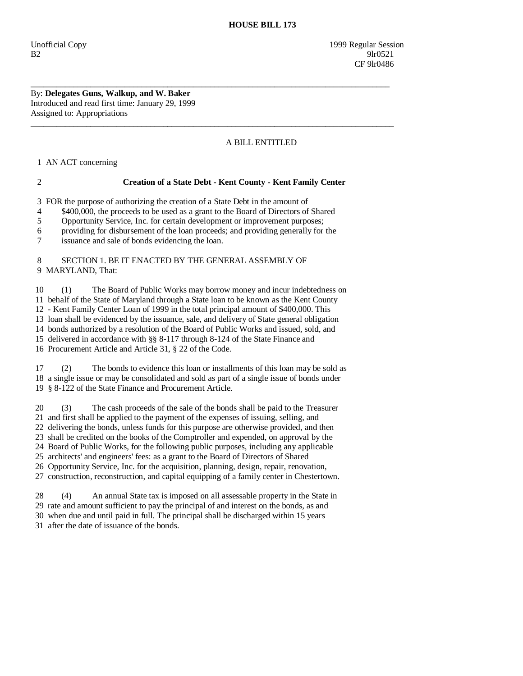By: **Delegates Guns, Walkup, and W. Baker**  Introduced and read first time: January 29, 1999 Assigned to: Appropriations

## A BILL ENTITLED

1 AN ACT concerning

## 2 **Creation of a State Debt - Kent County - Kent Family Center**

\_\_\_\_\_\_\_\_\_\_\_\_\_\_\_\_\_\_\_\_\_\_\_\_\_\_\_\_\_\_\_\_\_\_\_\_\_\_\_\_\_\_\_\_\_\_\_\_\_\_\_\_\_\_\_\_\_\_\_\_\_\_\_\_\_\_\_\_\_\_\_\_\_\_\_\_\_\_\_\_\_\_\_\_

 $\overline{\phantom{a}}$  ,  $\overline{\phantom{a}}$  ,  $\overline{\phantom{a}}$  ,  $\overline{\phantom{a}}$  ,  $\overline{\phantom{a}}$  ,  $\overline{\phantom{a}}$  ,  $\overline{\phantom{a}}$  ,  $\overline{\phantom{a}}$  ,  $\overline{\phantom{a}}$  ,  $\overline{\phantom{a}}$  ,  $\overline{\phantom{a}}$  ,  $\overline{\phantom{a}}$  ,  $\overline{\phantom{a}}$  ,  $\overline{\phantom{a}}$  ,  $\overline{\phantom{a}}$  ,  $\overline{\phantom{a}}$ 

3 FOR the purpose of authorizing the creation of a State Debt in the amount of

4 \$400,000, the proceeds to be used as a grant to the Board of Directors of Shared

5 Opportunity Service, Inc. for certain development or improvement purposes;

6 providing for disbursement of the loan proceeds; and providing generally for the

7 issuance and sale of bonds evidencing the loan.

## 8 SECTION 1. BE IT ENACTED BY THE GENERAL ASSEMBLY OF 9 MARYLAND, That:

 10 (1) The Board of Public Works may borrow money and incur indebtedness on 11 behalf of the State of Maryland through a State loan to be known as the Kent County 12 - Kent Family Center Loan of 1999 in the total principal amount of \$400,000. This 13 loan shall be evidenced by the issuance, sale, and delivery of State general obligation 14 bonds authorized by a resolution of the Board of Public Works and issued, sold, and 15 delivered in accordance with §§ 8-117 through 8-124 of the State Finance and

16 Procurement Article and Article 31, § 22 of the Code.

 17 (2) The bonds to evidence this loan or installments of this loan may be sold as 18 a single issue or may be consolidated and sold as part of a single issue of bonds under 19 § 8-122 of the State Finance and Procurement Article.

 20 (3) The cash proceeds of the sale of the bonds shall be paid to the Treasurer 21 and first shall be applied to the payment of the expenses of issuing, selling, and 22 delivering the bonds, unless funds for this purpose are otherwise provided, and then 23 shall be credited on the books of the Comptroller and expended, on approval by the 24 Board of Public Works, for the following public purposes, including any applicable 25 architects' and engineers' fees: as a grant to the Board of Directors of Shared 26 Opportunity Service, Inc. for the acquisition, planning, design, repair, renovation, 27 construction, reconstruction, and capital equipping of a family center in Chestertown.

 28 (4) An annual State tax is imposed on all assessable property in the State in 29 rate and amount sufficient to pay the principal of and interest on the bonds, as and 30 when due and until paid in full. The principal shall be discharged within 15 years 31 after the date of issuance of the bonds.